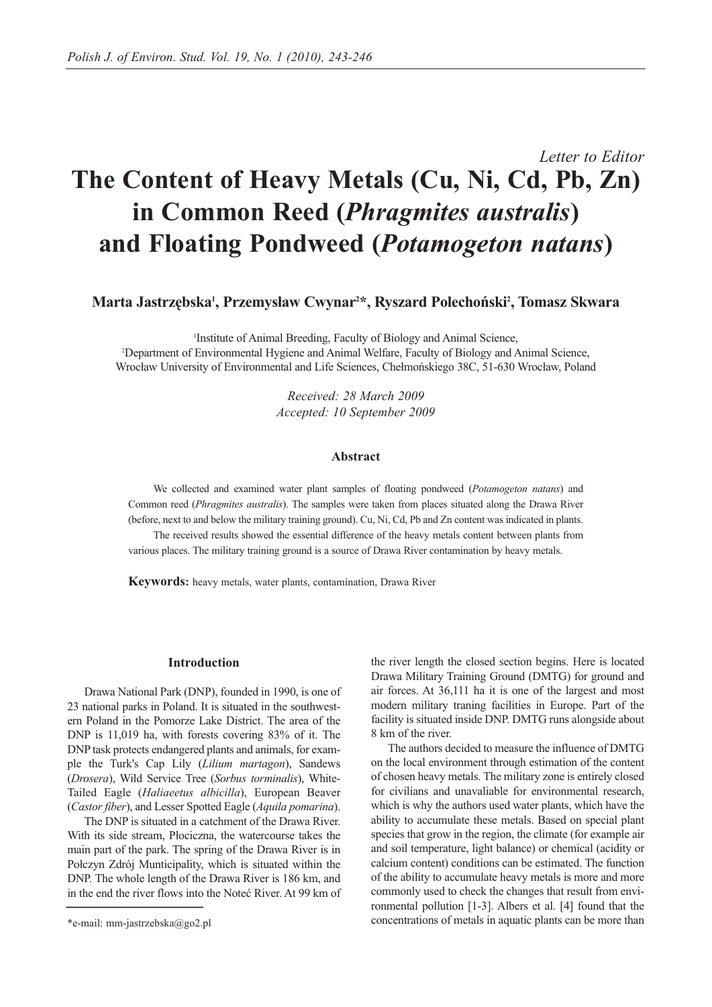# *Letter to Editor* **The Content of Heavy Metals (Cu, Ni, Cd, Pb, Zn) in Common Reed (***Phragmites australis***) and Floating Pondweed (***Potamogeton natans***)**

**Marta Jastrzębska1 , Przemysław Cwynar2 \*, Ryszard Polechoński2 , Tomasz Skwara**

Institute of Animal Breeding, Faculty of Biology and Animal Science,<br>2 Department of Environmental Hygiene and Animal Welfare, Faculty of Biology and A <sup>2</sup>Department of Environmental Hygiene and Animal Welfare, Faculty of Biology and Animal Science, Wrocław University of Environmental and Life Sciences, Chełmońskiego 38C, 51-630 Wrocław, Poland

> *Received: 28 March 2009 Accepted: 10 September 2009*

## **Abstract**

We collected and examined water plant samples of floating pondweed (*Potamogeton natans*) and Common reed (*Phragmites australis*). The samples were taken from places situated along the Drawa River (before, next to and below the military training ground). Cu, Ni, Cd, Pb and Zn content was indicated in plants.

The received results showed the essential difference of the heavy metals content between plants from various places. The military training ground is a source of Drawa River contamination by heavy metals.

**Keywords:** heavy metals, water plants, contamination, Drawa River

### **Introduction**

Drawa National Park (DNP), founded in 1990, is one of 23 national parks in Poland. It is situated in the southwestern Poland in the Pomorze Lake District. The area of the DNP is 11,019 ha, with forests covering 83% of it. The DNP task protects endangered plants and animals, for example the Turk's Cap Lily (*Lilium martagon*), Sandews (*Drosera*), Wild Service Tree (*Sorbus torminalis*), White-Tailed Eagle (*Haliaeetus albicilla*), European Beaver (*Castor fiber*), and Lesser Spotted Eagle (*Aquila pomarina*).

The DNP is situated in a catchment of the Drawa River. With its side stream, Płociczna, the watercourse takes the main part of the park. The spring of the Drawa River is in Połczyn Zdrój Munticipality, which is situated within the DNP. The whole length of the Drawa River is 186 km, and in the end the river flows into the Noteć River. At 99 km of the river length the closed section begins. Here is located Drawa Military Training Ground (DMTG) for ground and air forces. At 36,111 ha it is one of the largest and most modern military traning facilities in Europe. Part of the facility is situated inside DNP. DMTG runs alongside about 8 km of the river.

The authors decided to measure the influence of DMTG on the local environment through estimation of the content of chosen heavy metals. The military zone is entirely closed for civilians and unavaliable for environmental research, which is why the authors used water plants, which have the ability to accumulate these metals. Based on special plant species that grow in the region, the climate (for example air and soil temperature, light balance) or chemical (acidity or calcium content) conditions can be estimated. The function of the ability to accumulate heavy metals is more and more commonly used to check the changes that result from environmental pollution [1-3]. Albers et al. [4] found that the concentrations of metals in aquatic plants can be more than

<sup>\*</sup>e-mail: mm-jastrzebska@go2.pl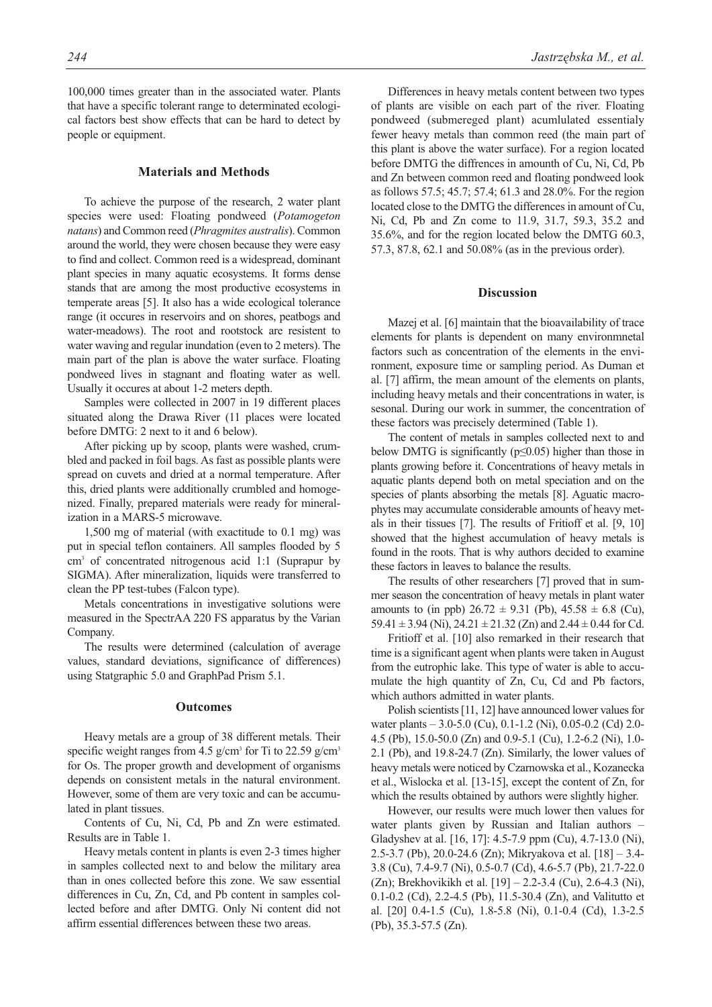100,000 times greater than in the associated water. Plants that have a specific tolerant range to determinated ecological factors best show effects that can be hard to detect by people or equipment.

# **Materials and Methods**

To achieve the purpose of the research, 2 water plant species were used: Floating pondweed (*Potamogeton natans*) and Common reed (*Phragmites australis*). Common around the world, they were chosen because they were easy to find and collect. Common reed is a widespread, dominant plant species in many aquatic ecosystems. It forms dense stands that are among the most productive ecosystems in temperate areas [5]. It also has a wide ecological tolerance range (it occures in reservoirs and on shores, peatbogs and water-meadows). The root and rootstock are resistent to water waving and regular inundation (even to 2 meters). The main part of the plan is above the water surface. Floating pondweed lives in stagnant and floating water as well. Usually it occures at about 1-2 meters depth.

Samples were collected in 2007 in 19 different places situated along the Drawa River (11 places were located before DMTG: 2 next to it and 6 below).

After picking up by scoop, plants were washed, crumbled and packed in foil bags. As fast as possible plants were spread on cuvets and dried at a normal temperature. After this, dried plants were additionally crumbled and homogenized. Finally, prepared materials were ready for mineralization in a MARS-5 microwave.

1,500 mg of material (with exactitude to 0.1 mg) was put in special teflon containers. All samples flooded by 5 cm3 of concentrated nitrogenous acid 1:1 (Suprapur by SIGMA). After mineralization, liquids were transferred to clean the PP test-tubes (Falcon type).

Metals concentrations in investigative solutions were measured in the SpectrAA 220 FS apparatus by the Varian Company.

The results were determined (calculation of average values, standard deviations, significance of differences) using Statgraphic 5.0 and GraphPad Prism 5.1.

#### **Outcomes**

Heavy metals are a group of 38 different metals. Their specific weight ranges from 4.5 g/cm<sup>3</sup> for Ti to 22.59 g/cm<sup>3</sup> for Os. The proper growth and development of organisms depends on consistent metals in the natural environment. However, some of them are very toxic and can be accumulated in plant tissues.

Contents of Cu, Ni, Cd, Pb and Zn were estimated. Results are in Table 1.

Heavy metals content in plants is even 2-3 times higher in samples collected next to and below the military area than in ones collected before this zone. We saw essential differences in Cu, Zn, Cd, and Pb content in samples collected before and after DMTG. Only Ni content did not affirm essential differences between these two areas.

Differences in heavy metals content between two types of plants are visible on each part of the river. Floating pondweed (submereged plant) acumlulated essentialy fewer heavy metals than common reed (the main part of this plant is above the water surface). For a region located before DMTG the diffrences in amounth of Cu, Ni, Cd, Pb and Zn between common reed and floating pondweed look as follows 57.5; 45.7; 57.4; 61.3 and 28.0%. For the region located close to the DMTG the differences in amount of Cu, Ni, Cd, Pb and Zn come to 11.9, 31.7, 59.3, 35.2 and 35.6%, and for the region located below the DMTG 60.3, 57.3, 87.8, 62.1 and 50.08% (as in the previous order).

## **Discussion**

Mazej et al. [6] maintain that the bioavailability of trace elements for plants is dependent on many environmnetal factors such as concentration of the elements in the environment, exposure time or sampling period. As Duman et al. [7] affirm, the mean amount of the elements on plants, including heavy metals and their concentrations in water, is sesonal. During our work in summer, the concentration of these factors was precisely determined (Table 1).

The content of metals in samples collected next to and below DMTG is significantly ( $p \le 0.05$ ) higher than those in plants growing before it. Concentrations of heavy metals in aquatic plants depend both on metal speciation and on the species of plants absorbing the metals [8]. Aguatic macrophytes may accumulate considerable amounts of heavy metals in their tissues [7]. The results of Fritioff et al. [9, 10] showed that the highest accumulation of heavy metals is found in the roots. That is why authors decided to examine these factors in leaves to balance the results.

The results of other researchers [7] proved that in summer season the concentration of heavy metals in plant water amounts to (in ppb)  $26.72 \pm 9.31$  (Pb),  $45.58 \pm 6.8$  (Cu), 59.41  $\pm$  3.94 (Ni), 24.21  $\pm$  21.32 (Zn) and 2.44  $\pm$  0.44 for Cd.

Fritioff et al. [10] also remarked in their research that time is a significant agent when plants were taken in August from the eutrophic lake. This type of water is able to accumulate the high quantity of Zn, Cu, Cd and Pb factors, which authors admitted in water plants.

Polish scientists [11, 12] have announced lower values for water plants – 3.0-5.0 (Cu), 0.1-1.2 (Ni), 0.05-0.2 (Cd) 2.0- 4.5 (Pb), 15.0-50.0 (Zn) and 0.9-5.1 (Cu), 1.2-6.2 (Ni), 1.0- 2.1 (Pb), and 19.8-24.7 (Zn). Similarly, the lower values of heavy metals were noticed by Czarnowska et al., Kozanecka et al., Wislocka et al. [13-15], except the content of Zn, for which the results obtained by authors were slightly higher.

However, our results were much lower then values for water plants given by Russian and Italian authors – Gladyshev at al. [16, 17]: 4.5-7.9 ppm (Cu), 4.7-13.0 (Ni), 2.5-3.7 (Pb), 20.0-24.6 (Zn); Mikryakova et al. [18] – 3.4- 3.8 (Cu), 7.4-9.7 (Ni), 0.5-0.7 (Cd), 4.6-5.7 (Pb), 21.7-22.0 (Zn); Brekhovikikh et al. [19] – 2.2-3.4 (Cu), 2.6-4.3 (Ni), 0.1-0.2 (Cd), 2.2-4.5 (Pb), 11.5-30.4 (Zn), and Valitutto et al. [20] 0.4-1.5 (Cu), 1.8-5.8 (Ni), 0.1-0.4 (Cd), 1.3-2.5 (Pb), 35.3-57.5 (Zn).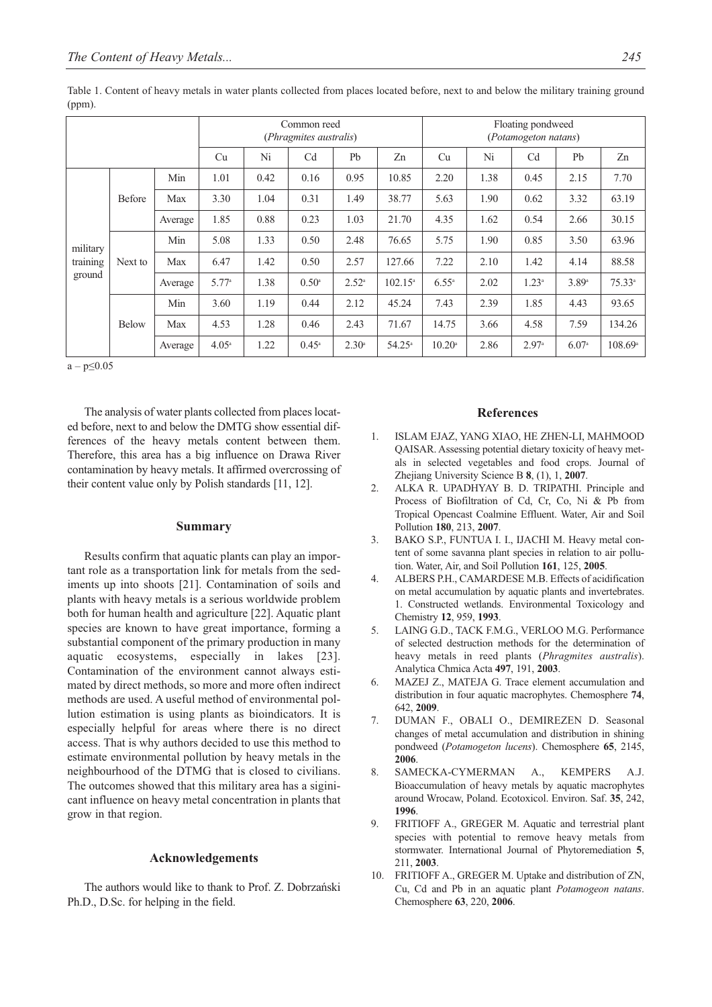|                                |               |         | Common reed<br>(Phragmites australis) |      |                |                |                  | Floating pondweed<br>(Potamogeton natans) |      |                |       |                  |
|--------------------------------|---------------|---------|---------------------------------------|------|----------------|----------------|------------------|-------------------------------------------|------|----------------|-------|------------------|
|                                |               |         | Cu                                    | Ni   | Cd             | Pb             | Zn               | Cu                                        | Ni   | C <sub>d</sub> | Pb    | Zn               |
| military<br>training<br>ground | <b>Before</b> | Min     | 1.01                                  | 0.42 | 0.16           | 0.95           | 10.85            | 2.20                                      | 1.38 | 0.45           | 2.15  | 7.70             |
|                                |               | Max     | 3.30                                  | 1.04 | 0.31           | 1.49           | 38.77            | 5.63                                      | 1.90 | 0.62           | 3.32  | 63.19            |
|                                |               | Average | 1.85                                  | 0.88 | 0.23           | 1.03           | 21.70            | 4.35                                      | 1.62 | 0.54           | 2.66  | 30.15            |
|                                | Next to       | Min     | 5.08                                  | 1.33 | 0.50           | 2.48           | 76.65            | 5.75                                      | 1.90 | 0.85           | 3.50  | 63.96            |
|                                |               | Max     | 6.47                                  | 1.42 | 0.50           | 2.57           | 127.66           | 7.22                                      | 2.10 | 1.42           | 4.14  | 88.58            |
|                                |               | Average | 5.77a                                 | 1.38 | $0.50^{\circ}$ | $2.52^{\circ}$ | $102.15^{\circ}$ | $6.55^{\circ}$                            | 2.02 | $1.23^{\circ}$ | 3.89a | $75.33^a$        |
|                                | <b>Below</b>  | Min     | 3.60                                  | 1.19 | 0.44           | 2.12           | 45.24            | 7.43                                      | 2.39 | 1.85           | 4.43  | 93.65            |
|                                |               | Max     | 4.53                                  | 1.28 | 0.46           | 2.43           | 71.67            | 14.75                                     | 3.66 | 4.58           | 7.59  | 134.26           |
|                                |               | Average | $4.05^{\circ}$                        | 1.22 | $0.45^{\circ}$ | $2.30^{\circ}$ | $54.25^{\circ}$  | $10.20^{\circ}$                           | 2.86 | 2.97a          | 6.07a | $108.69^{\circ}$ |

Table 1. Content of heavy metals in water plants collected from places located before, next to and below the military training ground (ppm).

 $a - p \leq 0.05$ 

The analysis of water plants collected from places located before, next to and below the DMTG show essential differences of the heavy metals content between them. Therefore, this area has a big influence on Drawa River contamination by heavy metals. It affirmed overcrossing of their content value only by Polish standards [11, 12].

## **Summary**

Results confirm that aquatic plants can play an important role as a transportation link for metals from the sediments up into shoots [21]. Contamination of soils and plants with heavy metals is a serious worldwide problem both for human health and agriculture [22]. Aquatic plant species are known to have great importance, forming a substantial component of the primary production in many aquatic ecosystems, especially in lakes [23]. Contamination of the environment cannot always estimated by direct methods, so more and more often indirect methods are used. A useful method of environmental pollution estimation is using plants as bioindicators. It is especially helpful for areas where there is no direct access. That is why authors decided to use this method to estimate environmental pollution by heavy metals in the neighbourhood of the DTMG that is closed to civilians. The outcomes showed that this military area has a siginicant influence on heavy metal concentration in plants that grow in that region.

## **Acknowledgements**

The authors would like to thank to Prof. Z. Dobrzański Ph.D., D.Sc. for helping in the field.

## **References**

- 1. ISLAM EJAZ, YANG XIAO, HE ZHEN-LI, MAHMOOD QAISAR. Assessing potential dietary toxicity of heavy metals in selected vegetables and food crops. Journal of Zhejiang University Science B **8**, (1), 1, **2007**.
- 2. ALKA R. UPADHYAY B. D. TRIPATHI. Principle and Process of Biofiltration of Cd, Cr, Co, Ni & Pb from Tropical Opencast Coalmine Effluent. Water, Air and Soil Pollution **180**, 213, **2007**.
- 3. BAKO S.P., FUNTUA I. I., IJACHI M. Heavy metal content of some savanna plant species in relation to air pollution. Water, Air, and Soil Pollution **161**, 125, **2005**.
- 4. ALBERS P.H., CAMARDESE M.B. Effects of acidification on metal accumulation by aquatic plants and invertebrates. 1. Constructed wetlands. Environmental Toxicology and Chemistry **12**, 959, **1993**.
- 5. LAING G.D., TACK F.M.G., VERLOO M.G. Performance of selected destruction methods for the determination of heavy metals in reed plants (*Phragmites australis*). Analytica Chmica Acta **497**, 191, **2003**.
- 6. MAZEJ Z., MATEJA G. Trace element accumulation and distribution in four aquatic macrophytes. Chemosphere **74**, 642, **2009**.
- 7. DUMAN F., OBALI O., DEMIREZEN D. Seasonal changes of metal accumulation and distribution in shining pondweed (*Potamogeton lucens*). Chemosphere **65**, 2145, **2006**.
- 8. SAMECKA-CYMERMAN A., KEMPERS A.J. Bioaccumulation of heavy metals by aquatic macrophytes around Wrocaw, Poland. Ecotoxicol. Environ. Saf. **35**, 242, **1996**.
- 9. FRITIOFF A., GREGER M. Aquatic and terrestrial plant species with potential to remove heavy metals from stormwater. International Journal of Phytoremediation **5**, 211, **2003**.
- 10. FRITIOFF A., GREGER M. Uptake and distribution of ZN, Cu, Cd and Pb in an aquatic plant *Potamogeon natans*. Chemosphere **63**, 220, **2006**.